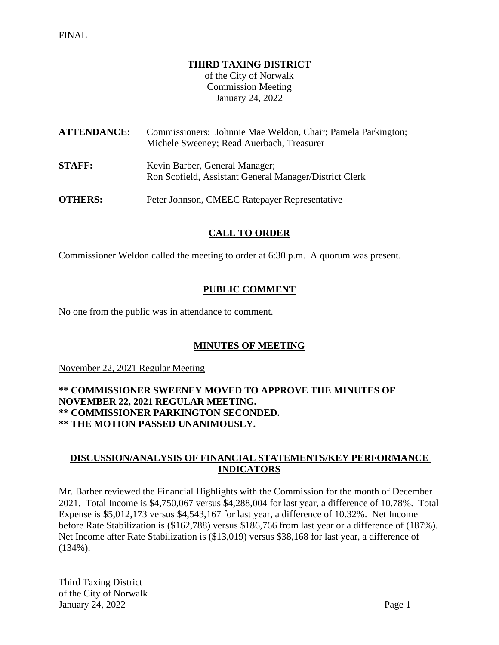#### **THIRD TAXING DISTRICT**

of the City of Norwalk Commission Meeting January 24, 2022

| <b>ATTENDANCE:</b> | Commissioners: Johnnie Mae Weldon, Chair; Pamela Parkington;<br>Michele Sweeney; Read Auerbach, Treasurer |
|--------------------|-----------------------------------------------------------------------------------------------------------|
| <b>STAFF:</b>      | Kevin Barber, General Manager;<br>Ron Scofield, Assistant General Manager/District Clerk                  |
| <b>OTHERS:</b>     | Peter Johnson, CMEEC Ratepayer Representative                                                             |

### **CALL TO ORDER**

Commissioner Weldon called the meeting to order at 6:30 p.m. A quorum was present.

### **PUBLIC COMMENT**

No one from the public was in attendance to comment.

### **MINUTES OF MEETING**

November 22, 2021 Regular Meeting

#### **\*\* COMMISSIONER SWEENEY MOVED TO APPROVE THE MINUTES OF NOVEMBER 22, 2021 REGULAR MEETING. \*\* COMMISSIONER PARKINGTON SECONDED. \*\* THE MOTION PASSED UNANIMOUSLY.**

### **DISCUSSION/ANALYSIS OF FINANCIAL STATEMENTS/KEY PERFORMANCE INDICATORS**

Mr. Barber reviewed the Financial Highlights with the Commission for the month of December 2021. Total Income is \$4,750,067 versus \$4,288,004 for last year, a difference of 10.78%. Total Expense is \$5,012,173 versus \$4,543,167 for last year, a difference of 10.32%. Net Income before Rate Stabilization is (\$162,788) versus \$186,766 from last year or a difference of (187%). Net Income after Rate Stabilization is (\$13,019) versus \$38,168 for last year, a difference of (134%).

Third Taxing District of the City of Norwalk January 24, 2022 Page 1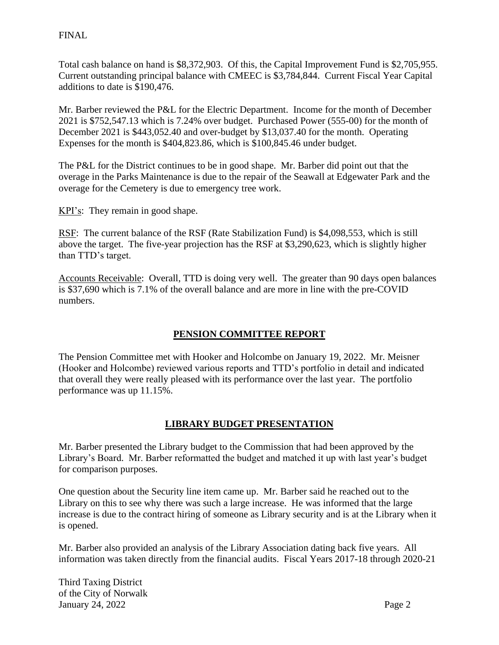Total cash balance on hand is \$8,372,903. Of this, the Capital Improvement Fund is \$2,705,955. Current outstanding principal balance with CMEEC is \$3,784,844. Current Fiscal Year Capital additions to date is \$190,476.

Mr. Barber reviewed the P&L for the Electric Department. Income for the month of December 2021 is \$752,547.13 which is 7.24% over budget. Purchased Power (555-00) for the month of December 2021 is \$443,052.40 and over-budget by \$13,037.40 for the month. Operating Expenses for the month is \$404,823.86, which is \$100,845.46 under budget.

The P&L for the District continues to be in good shape. Mr. Barber did point out that the overage in the Parks Maintenance is due to the repair of the Seawall at Edgewater Park and the overage for the Cemetery is due to emergency tree work.

KPI's: They remain in good shape.

RSF: The current balance of the RSF (Rate Stabilization Fund) is \$4,098,553, which is still above the target. The five-year projection has the RSF at \$3,290,623, which is slightly higher than TTD's target.

Accounts Receivable: Overall, TTD is doing very well. The greater than 90 days open balances is \$37,690 which is 7.1% of the overall balance and are more in line with the pre-COVID numbers.

# **PENSION COMMITTEE REPORT**

The Pension Committee met with Hooker and Holcombe on January 19, 2022. Mr. Meisner (Hooker and Holcombe) reviewed various reports and TTD's portfolio in detail and indicated that overall they were really pleased with its performance over the last year. The portfolio performance was up 11.15%.

# **LIBRARY BUDGET PRESENTATION**

Mr. Barber presented the Library budget to the Commission that had been approved by the Library's Board. Mr. Barber reformatted the budget and matched it up with last year's budget for comparison purposes.

One question about the Security line item came up. Mr. Barber said he reached out to the Library on this to see why there was such a large increase. He was informed that the large increase is due to the contract hiring of someone as Library security and is at the Library when it is opened.

Mr. Barber also provided an analysis of the Library Association dating back five years. All information was taken directly from the financial audits. Fiscal Years 2017-18 through 2020-21

Third Taxing District of the City of Norwalk January 24, 2022 Page 2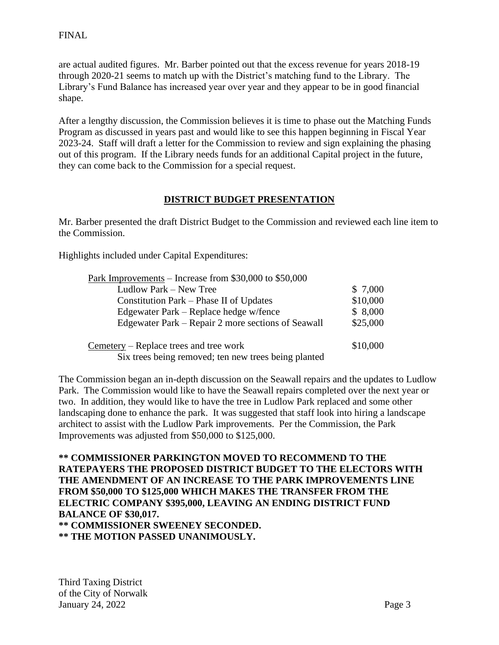are actual audited figures. Mr. Barber pointed out that the excess revenue for years 2018-19 through 2020-21 seems to match up with the District's matching fund to the Library. The Library's Fund Balance has increased year over year and they appear to be in good financial shape.

After a lengthy discussion, the Commission believes it is time to phase out the Matching Funds Program as discussed in years past and would like to see this happen beginning in Fiscal Year 2023-24. Staff will draft a letter for the Commission to review and sign explaining the phasing out of this program. If the Library needs funds for an additional Capital project in the future, they can come back to the Commission for a special request.

### **DISTRICT BUDGET PRESENTATION**

Mr. Barber presented the draft District Budget to the Commission and reviewed each line item to the Commission.

Highlights included under Capital Expenditures:

| Park Improvements – Increase from \$30,000 to \$50,000 |          |
|--------------------------------------------------------|----------|
| Ludlow Park – New Tree                                 | \$7,000  |
| Constitution Park – Phase II of Updates                | \$10,000 |
| Edgewater Park – Replace hedge w/fence                 | \$8,000  |
| Edgewater Park – Repair 2 more sections of Seawall     | \$25,000 |
| Cemetery – Replace trees and tree work                 | \$10,000 |
| Six trees being removed; ten new trees being planted   |          |

The Commission began an in-depth discussion on the Seawall repairs and the updates to Ludlow Park. The Commission would like to have the Seawall repairs completed over the next year or two. In addition, they would like to have the tree in Ludlow Park replaced and some other landscaping done to enhance the park. It was suggested that staff look into hiring a landscape architect to assist with the Ludlow Park improvements. Per the Commission, the Park Improvements was adjusted from \$50,000 to \$125,000.

**\*\* COMMISSIONER PARKINGTON MOVED TO RECOMMEND TO THE RATEPAYERS THE PROPOSED DISTRICT BUDGET TO THE ELECTORS WITH THE AMENDMENT OF AN INCREASE TO THE PARK IMPROVEMENTS LINE FROM \$50,000 TO \$125,000 WHICH MAKES THE TRANSFER FROM THE ELECTRIC COMPANY \$395,000, LEAVING AN ENDING DISTRICT FUND BALANCE OF \$30,017. \*\* COMMISSIONER SWEENEY SECONDED. \*\* THE MOTION PASSED UNANIMOUSLY.**